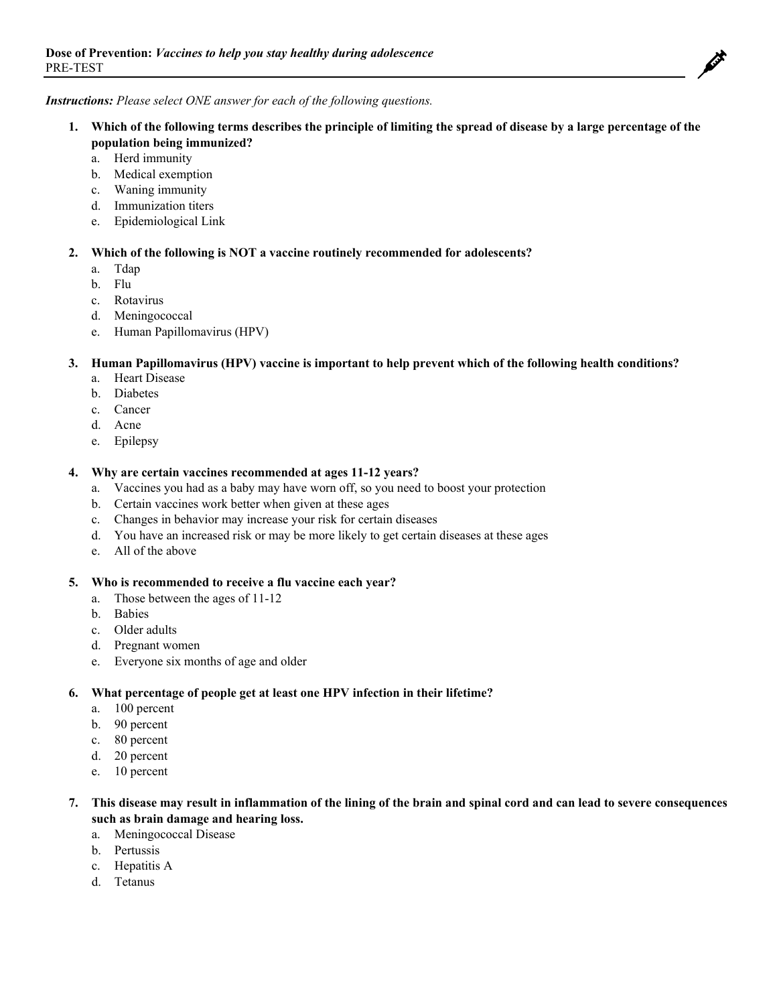

#### *Instructions: Please select ONE answer for each of the following questions.*

- **1. Which of the following terms describes the principle of limiting the spread of disease by a large percentage of the population being immunized?**
	- a. Herd immunity
	- b. Medical exemption
	- c. Waning immunity
	- d. Immunization titers
	- e. Epidemiological Link

#### **2. Which of the following is NOT a vaccine routinely recommended for adolescents?**

- a. Tdap
- b. Flu
- c. Rotavirus
- d. Meningococcal
- e. Human Papillomavirus (HPV)

## **3. Human Papillomavirus (HPV) vaccine is important to help prevent which of the following health conditions?**

- a. Heart Disease
- b. Diabetes
- c. Cancer
- d. Acne
- e. Epilepsy

#### **4. Why are certain vaccines recommended at ages 11-12 years?**

- a. Vaccines you had as a baby may have worn off, so you need to boost your protection
- b. Certain vaccines work better when given at these ages
- c. Changes in behavior may increase your risk for certain diseases
- d. You have an increased risk or may be more likely to get certain diseases at these ages
- e. All of the above

#### **5. Who is recommended to receive a flu vaccine each year?**

- a. Those between the ages of 11-12
- b. Babies
- c. Older adults
- d. Pregnant women
- e. Everyone six months of age and older

#### **6. What percentage of people get at least one HPV infection in their lifetime?**

- a. 100 percent
- b. 90 percent
- c. 80 percent
- d. 20 percent
- e. 10 percent

# **7. This disease may result in inflammation of the lining of the brain and spinal cord and can lead to severe consequences such as brain damage and hearing loss.**

- a. Meningococcal Disease
- b. Pertussis
- c. Hepatitis A
- d. Tetanus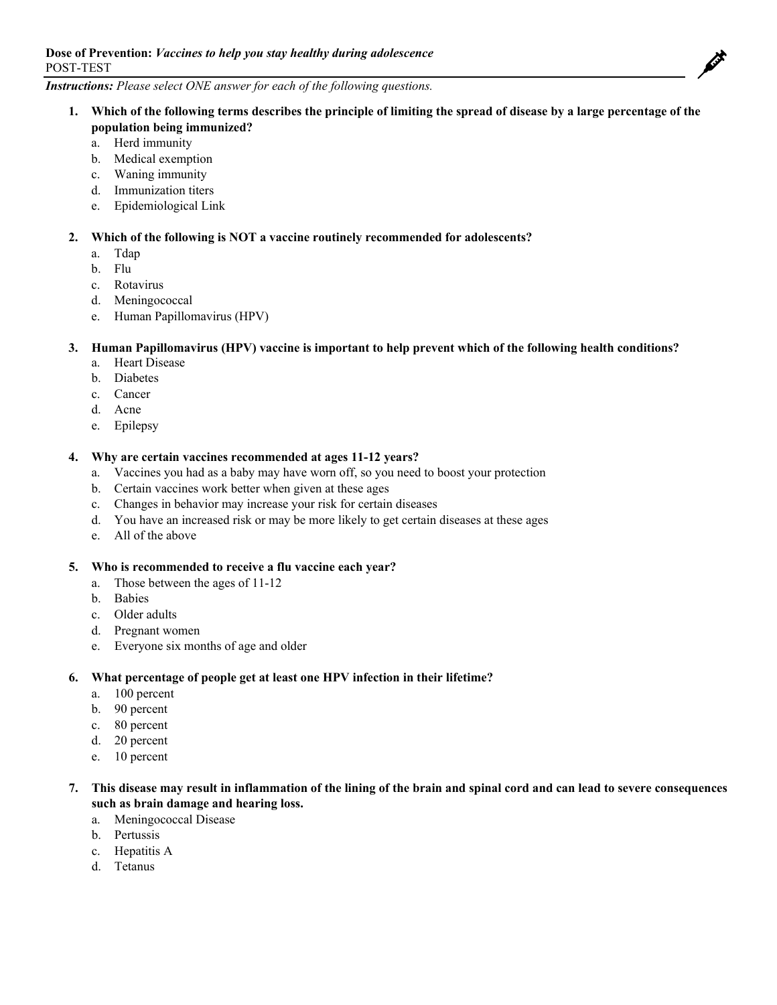

# *Instructions: Please select ONE answer for each of the following questions.*

- **1. Which of the following terms describes the principle of limiting the spread of disease by a large percentage of the population being immunized?**
	- a. Herd immunity
	- b. Medical exemption
	- c. Waning immunity
	- d. Immunization titers
	- e. Epidemiological Link

## **2. Which of the following is NOT a vaccine routinely recommended for adolescents?**

- a. Tdap
- b. Flu
- c. Rotavirus
- d. Meningococcal
- e. Human Papillomavirus (HPV)

## **3. Human Papillomavirus (HPV) vaccine is important to help prevent which of the following health conditions?**

- a. Heart Disease
- b. Diabetes
- c. Cancer
- d. Acne
- e. Epilepsy

## **4. Why are certain vaccines recommended at ages 11-12 years?**

- a. Vaccines you had as a baby may have worn off, so you need to boost your protection
- b. Certain vaccines work better when given at these ages
- c. Changes in behavior may increase your risk for certain diseases
- d. You have an increased risk or may be more likely to get certain diseases at these ages
- e. All of the above

#### **5. Who is recommended to receive a flu vaccine each year?**

- a. Those between the ages of 11-12
- b. Babies
- c. Older adults
- d. Pregnant women
- e. Everyone six months of age and older

#### **6. What percentage of people get at least one HPV infection in their lifetime?**

- a. 100 percent
- b. 90 percent
- c. 80 percent
- d. 20 percent
- e. 10 percent

# **7. This disease may result in inflammation of the lining of the brain and spinal cord and can lead to severe consequences such as brain damage and hearing loss.**

- a. Meningococcal Disease
- b. Pertussis
- c. Hepatitis A
- d. Tetanus